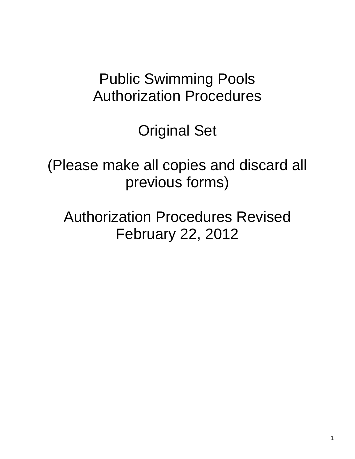# Public Swimming Pools Authorization Procedures

Original Set

(Please make all copies and discard all previous forms)

Authorization Procedures Revised February 22, 2012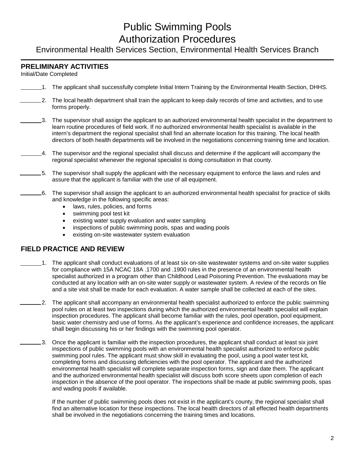## Public Swimming Pools Authorization Procedures

Environmental Health Services Section, Environmental Health Services Branch

#### **PRELIMINARY ACTIVITIES**

Initial/Date Completed

- 1. The applicant shall successfully complete Initial Intern Training by the Environmental Health Section, DHHS.
- 2. The local health department shall train the applicant to keep daily records of time and activities, and to use forms properly.
- 3. The supervisor shall assign the applicant to an authorized environmental health specialist in the department to learn routine procedures of field work. If no authorized environmental health specialist is available in the intern's department the regional specialist shall find an alternate location for this training. The local health directors of both health departments will be involved in the negotiations concerning training time and location.
- 4. The supervisor and the regional specialist shall discuss and determine if the applicant will accompany the regional specialist whenever the regional specialist is doing consultation in that county.
- 5. The supervisor shall supply the applicant with the necessary equipment to enforce the laws and rules and assure that the applicant is familiar with the use of all equipment.
- 6. The supervisor shall assign the applicant to an authorized environmental health specialist for practice of skills and knowledge in the following specific areas:
	- laws, rules, policies, and forms
	- swimming pool test kit
	- existing water supply evaluation and water sampling
	- inspections of public swimming pools, spas and wading pools
	- existing on-site wastewater system evaluation

#### **FIELD PRACTICE AND REVIEW**

- 1. The applicant shall conduct evaluations of at least six on-site wastewater systems and on-site water supplies for compliance with 15A NCAC 18A .1700 and .1900 rules in the presence of an environmental health specialist authorized in a program other than Childhood Lead Poisoning Prevention. The evaluations may be conducted at any location with an on-site water supply or wastewater system. A review of the records on file and a site visit shall be made for each evaluation. A water sample shall be collected at each of the sites.
	- 2. The applicant shall accompany an environmental health specialist authorized to enforce the public swimming pool rules on at least two inspections during which the authorized environmental health specialist will explain inspection procedures. The applicant shall become familiar with the rules, pool operation, pool equipment, basic water chemistry and use of forms. As the applicant's experience and confidence increases, the applicant shall begin discussing his or her findings with the swimming pool operator.
	- 3. Once the applicant is familiar with the inspection procedures, the applicant shall conduct at least six joint inspections of public swimming pools with an environmental health specialist authorized to enforce public swimming pool rules. The applicant must show skill in evaluating the pool, using a pool water test kit, completing forms and discussing deficiencies with the pool operator. The applicant and the authorized environmental health specialist will complete separate inspection forms, sign and date them. The applicant and the authorized environmental health specialist will discuss both score sheets upon completion of each inspection in the absence of the pool operator. The inspections shall be made at public swimming pools, spas and wading pools if available.

If the number of public swimming pools does not exist in the applicant's county, the regional specialist shall find an alternative location for these inspections. The local health directors of all effected health departments shall be involved in the negotiations concerning the training times and locations.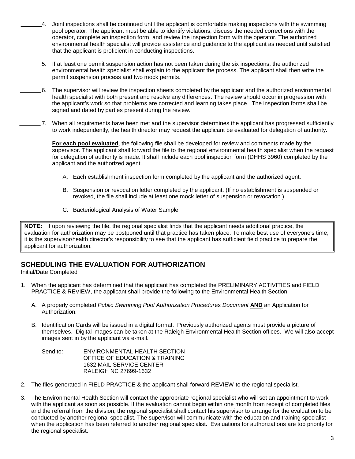- 4. Joint inspections shall be continued until the applicant is comfortable making inspections with the swimming pool operator. The applicant must be able to identify violations, discuss the needed corrections with the operator, complete an inspection form, and review the inspection form with the operator. The authorized environmental health specialist will provide assistance and guidance to the applicant as needed until satisfied that the applicant is proficient in conducting inspections.
- 5. If at least one permit suspension action has not been taken during the six inspections, the authorized environmental health specialist shall explain to the applicant the process. The applicant shall then write the permit suspension process and two mock permits.
- 6. The supervisor will review the inspection sheets completed by the applicant and the authorized environmental health specialist with both present and resolve any differences. The review should occur in progression with the applicant's work so that problems are corrected and learning takes place. The inspection forms shall be signed and dated by parties present during the review.
- 7. When all requirements have been met and the supervisor determines the applicant has progressed sufficiently to work independently, the health director may request the applicant be evaluated for delegation of authority.

**For each pool evaluated**, the following file shall be developed for review and comments made by the supervisor. The applicant shall forward the file to the regional environmental health specialist when the request for delegation of authority is made. It shall include each pool inspection form (DHHS 3960) completed by the applicant and the authorized agent.

- A. Each establishment inspection form completed by the applicant and the authorized agent.
- B. Suspension or revocation letter completed by the applicant. (If no establishment is suspended or revoked, the file shall include at least one mock letter of suspension or revocation.)
- C. Bacteriological Analysis of Water Sample.

**NOTE:** If upon reviewing the file, the regional specialist finds that the applicant needs additional practice, the evaluation for authorization may be postponed until that practice has taken place. To make best use of everyone's time, it is the supervisor/health director's responsibility to see that the applicant has sufficient field practice to prepare the applicant for authorization.

#### **SCHEDULING THE EVALUATION FOR AUTHORIZATION**

Initial/Date Completed

- 1. When the applicant has determined that the applicant has completed the PRELIMINARY ACTIVITIES and FIELD PRACTICE & REVIEW, the applicant shall provide the following to the Environmental Health Section:
	- A. A properly completed *Public Swimming Pool Authorization Procedur*es *Document* **AND** an Application for Authorization.
	- B. Identification Cards will be issued in a digital format. Previously authorized agents must provide a picture of themselves. Digital images can be taken at the Raleigh Environmental Health Section offices. We will also accept images sent in by the applicant via e-mail.

Send to: ENVIRONMENTAL HEALTH SECTION OFFICE OF EDUCATION & TRAINING 1632 MAIL SERVICE CENTER RALEIGH NC 27699-1632

- 2. The files generated in FIELD PRACTICE & the applicant shall forward REVIEW to the regional specialist.
- 3. The Environmental Health Section will contact the appropriate regional specialist who will set an appointment to work with the applicant as soon as possible. If the evaluation cannot begin within one month from receipt of completed files and the referral from the division, the regional specialist shall contact his supervisor to arrange for the evaluation to be conducted by another regional specialist. The supervisor will communicate with the education and training specialist when the application has been referred to another regional specialist. Evaluations for authorizations are top priority for the regional specialist.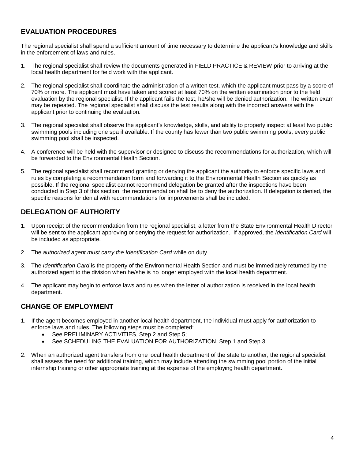### **EVALUATION PROCEDURES**

The regional specialist shall spend a sufficient amount of time necessary to determine the applicant's knowledge and skills in the enforcement of laws and rules.

- 1. The regional specialist shall review the documents generated in FIELD PRACTICE & REVIEW prior to arriving at the local health department for field work with the applicant.
- 2. The regional specialist shall coordinate the administration of a written test, which the applicant must pass by a score of 70% or more. The applicant must have taken and scored at least 70% on the written examination prior to the field evaluation by the regional specialist. If the applicant fails the test, he/she will be denied authorization. The written exam may be repeated. The regional specialist shall discuss the test results along with the incorrect answers with the applicant prior to continuing the evaluation.
- 3. The regional specialist shall observe the applicant's knowledge, skills, and ability to properly inspect at least two public swimming pools including one spa if available. If the county has fewer than two public swimming pools, every public swimming pool shall be inspected.
- 4. A conference will be held with the supervisor or designee to discuss the recommendations for authorization, which will be forwarded to the Environmental Health Section.
- 5. The regional specialist shall recommend granting or denying the applicant the authority to enforce specific laws and rules by completing a recommendation form and forwarding it to the Environmental Health Section as quickly as possible. If the regional specialist cannot recommend delegation be granted after the inspections have been conducted in Step 3 of this section, the recommendation shall be to deny the authorization. If delegation is denied, the specific reasons for denial with recommendations for improvements shall be included.

### **DELEGATION OF AUTHORITY**

- 1. Upon receipt of the recommendation from the regional specialist, a letter from the State Environmental Health Director will be sent to the applicant approving or denying the request for authorization. If approved, the *Identification Card* will be included as appropriate.
- 2. The *authorized agent must carry the Identification Card* while on duty.
- 3. The *Identification Card* is the property of the Environmental Health Section and must be immediately returned by the authorized agent to the division when he/she is no longer employed with the local health department.
- 4. The applicant may begin to enforce laws and rules when the letter of authorization is received in the local health department.

#### **CHANGE OF EMPLOYMENT**

- 1. If the agent becomes employed in another local health department, the individual must apply for authorization to enforce laws and rules. The following steps must be completed:
	- See PRELIMINARY ACTIVITIES, Step 2 and Step 5;
	- See SCHEDULING THE EVALUATION FOR AUTHORIZATION, Step 1 and Step 3.
- 2. When an authorized agent transfers from one local health department of the state to another, the regional specialist shall assess the need for additional training, which may include attending the swimming pool portion of the initial internship training or other appropriate training at the expense of the employing health department.